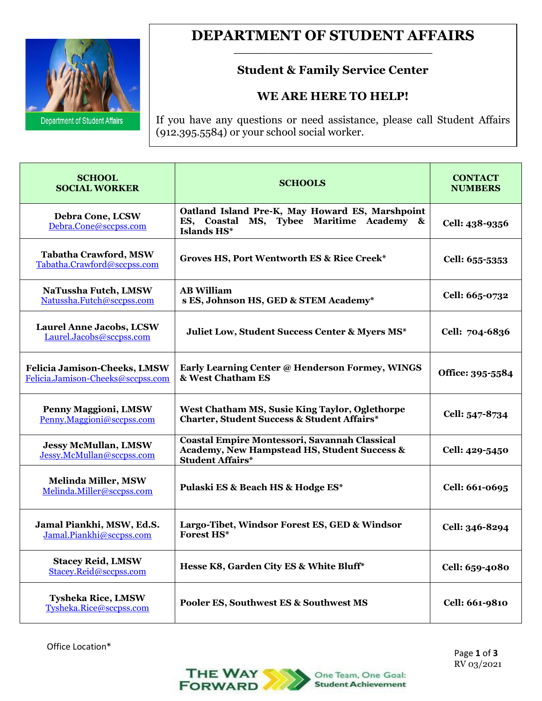

### **DEPARTMENT OF STUDENT AFFAIRS \_\_\_\_\_\_\_\_\_\_\_\_\_\_\_\_\_\_\_\_\_\_\_\_\_\_\_\_\_**

## **Student & Family Service Center**

### **WE ARE HERE TO HELP!**

If you have any questions or need assistance, please call Student Affairs  $(912.395.5584)$  or your school social worker.

| <b>SCHOOL</b><br><b>SOCIAL WORKER</b>                                    | <b>SCHOOLS</b>                                                                                                           | <b>CONTACT</b><br><b>NUMBERS</b> |
|--------------------------------------------------------------------------|--------------------------------------------------------------------------------------------------------------------------|----------------------------------|
| <b>Debra Cone, LCSW</b><br>Debra.Cone@sccpss.com                         | Oatland Island Pre-K, May Howard ES, Marshpoint<br>Tybee Maritime Academy &<br>ES, Coastal MS,<br>Islands HS*            | Cell: 438-9356                   |
| <b>Tabatha Crawford, MSW</b><br>Tabatha.Crawford@sccpss.com              | Groves HS, Port Wentworth ES & Rice Creek*                                                                               | Cell: 655-5353                   |
| NaTussha Futch, LMSW<br>Natussha.Futch@sccpss.com                        | <b>AB William</b><br>s ES, Johnson HS, GED & STEM Academy*                                                               | Cell: 665-0732                   |
| <b>Laurel Anne Jacobs, LCSW</b><br>Laurel.Jacobs@sccpss.com              | Juliet Low, Student Success Center & Myers MS*                                                                           | Cell: 704-6836                   |
| <b>Felicia Jamison-Cheeks, LMSW</b><br>Felicia.Jamison-Cheeks@sccpss.com | Early Learning Center @ Henderson Formey, WINGS<br>& West Chatham ES                                                     | Office: 395-5584                 |
| <b>Penny Maggioni, LMSW</b><br>Penny.Maggioni@sccpss.com                 | West Chatham MS, Susie King Taylor, Oglethorpe<br><b>Charter, Student Success &amp; Student Affairs*</b>                 | Cell: 547-8734                   |
| <b>Jessy McMullan, LMSW</b><br>Jessy.McMullan@sccpss.com                 | Coastal Empire Montessori, Savannah Classical<br>Academy, New Hampstead HS, Student Success &<br><b>Student Affairs*</b> | Cell: 429-5450                   |
| <b>Melinda Miller, MSW</b><br>Melinda.Miller@sccpss.com                  | Pulaski ES & Beach HS & Hodge ES*                                                                                        | Cell: 661-0695                   |
| Jamal Piankhi, MSW, Ed.S.<br>Jamal.Piankhi@sccpss.com                    | Largo-Tibet, Windsor Forest ES, GED & Windsor<br><b>Forest HS*</b>                                                       | Cell: 346-8294                   |
| <b>Stacey Reid, LMSW</b><br>Stacey.Reid@sccpss.com                       | Hesse K8, Garden City ES & White Bluff*                                                                                  | Cell: 659-4080                   |
| <b>Tysheka Rice, LMSW</b><br>Tysheka.Rice@sccpss.com                     | Pooler ES, Southwest ES & Southwest MS                                                                                   | Cell: 661-9810                   |

Office Location\*

 Page **1** of **3** RV 03/2021

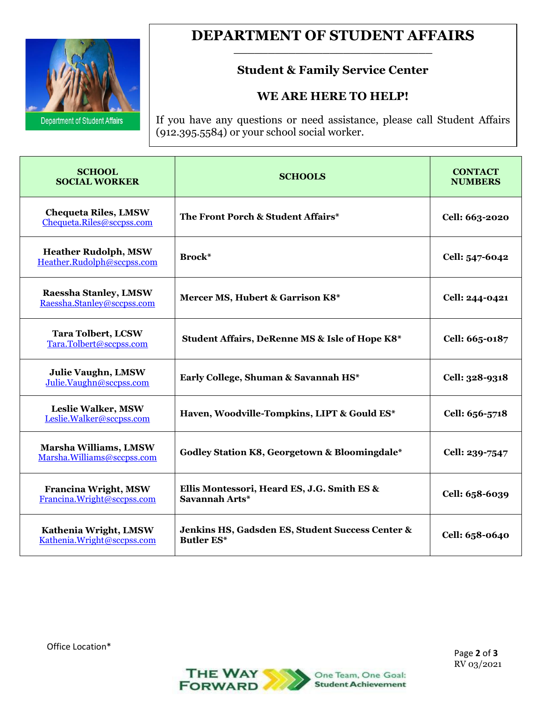

### **DEPARTMENT OF STUDENT AFFAIRS \_\_\_\_\_\_\_\_\_\_\_\_\_\_\_\_\_\_\_\_\_\_\_\_\_\_\_\_\_**

## **Student & Family Service Center**

### **WE ARE HERE TO HELP!**

If you have any questions or need assistance, please call Student Affairs (912.395.5584) or your school social worker.

| <b>SCHOOL</b><br><b>SOCIAL WORKER</b>                      | <b>SCHOOLS</b>                                                        | <b>CONTACT</b><br><b>NUMBERS</b> |
|------------------------------------------------------------|-----------------------------------------------------------------------|----------------------------------|
| <b>Chequeta Riles, LMSW</b><br>Chequeta.Riles@sccpss.com   | The Front Porch & Student Affairs*                                    | Cell: 663-2020                   |
| <b>Heather Rudolph, MSW</b><br>Heather.Rudolph@sccpss.com  | Brock*                                                                | Cell: 547-6042                   |
| <b>Raessha Stanley, LMSW</b><br>Raessha.Stanley@sccpss.com | Mercer MS, Hubert & Garrison K8*                                      | Cell: 244-0421                   |
| <b>Tara Tolbert, LCSW</b><br>Tara.Tolbert@sccpss.com       | Student Affairs, DeRenne MS & Isle of Hope K8*                        | Cell: 665-0187                   |
| <b>Julie Vaughn, LMSW</b><br>Julie.Vaughn@sccpss.com       | Early College, Shuman & Savannah HS*                                  | Cell: 328-9318                   |
| <b>Leslie Walker, MSW</b><br>Leslie.Walker@sccpss.com      | Haven, Woodville-Tompkins, LIPT & Gould ES*                           | Cell: 656-5718                   |
| Marsha Williams, LMSW<br>Marsha.Williams@sccpss.com        | Godley Station K8, Georgetown & Bloomingdale*                         | Cell: 239-7547                   |
| <b>Francina Wright, MSW</b><br>Francina.Wright@sccpss.com  | Ellis Montessori, Heard ES, J.G. Smith ES &<br>Savannah Arts*         | Cell: 658-6039                   |
| Kathenia Wright, LMSW<br>Kathenia.Wright@sccpss.com        | Jenkins HS, Gadsden ES, Student Success Center &<br><b>Butler ES*</b> | Cell: 658-0640                   |

Office Location\*